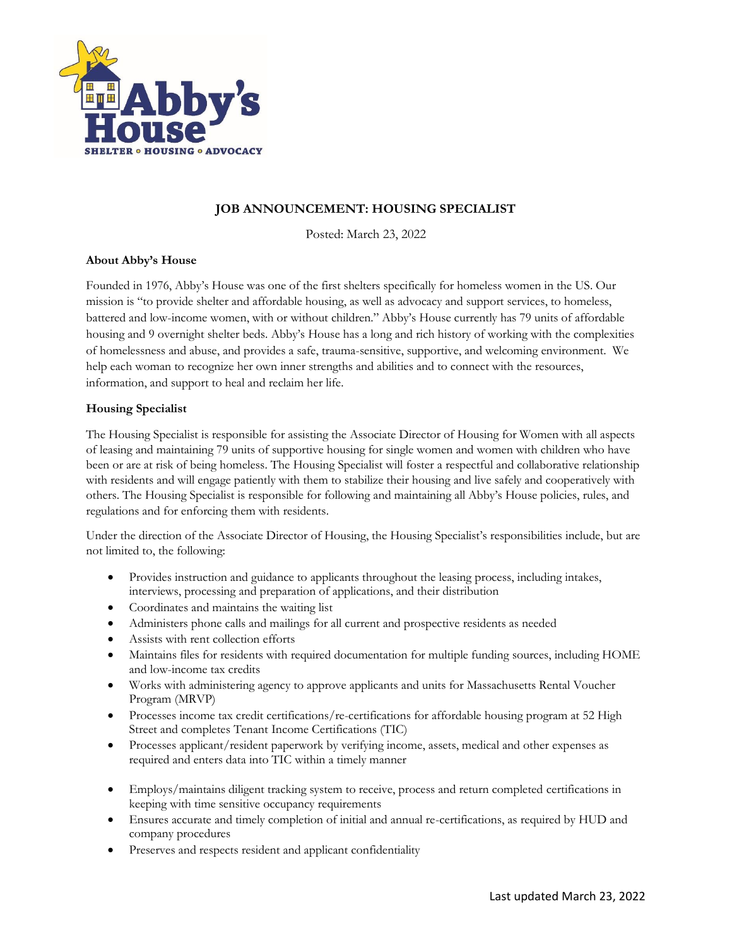

# **JOB ANNOUNCEMENT: HOUSING SPECIALIST**

Posted: March 23, 2022

# **About Abby's House**

Founded in 1976, Abby's House was one of the first shelters specifically for homeless women in the US. Our mission is "to provide shelter and affordable housing, as well as advocacy and support services, to homeless, battered and low-income women, with or without children." Abby's House currently has 79 units of affordable housing and 9 overnight shelter beds. Abby's House has a long and rich history of working with the complexities of homelessness and abuse, and provides a safe, trauma-sensitive, supportive, and welcoming environment. We help each woman to recognize her own inner strengths and abilities and to connect with the resources, information, and support to heal and reclaim her life.

# **Housing Specialist**

The Housing Specialist is responsible for assisting the Associate Director of Housing for Women with all aspects of leasing and maintaining 79 units of supportive housing for single women and women with children who have been or are at risk of being homeless. The Housing Specialist will foster a respectful and collaborative relationship with residents and will engage patiently with them to stabilize their housing and live safely and cooperatively with others. The Housing Specialist is responsible for following and maintaining all Abby's House policies, rules, and regulations and for enforcing them with residents.

Under the direction of the Associate Director of Housing, the Housing Specialist's responsibilities include, but are not limited to, the following:

- Provides instruction and guidance to applicants throughout the leasing process, including intakes, interviews, processing and preparation of applications, and their distribution
- Coordinates and maintains the waiting list
- Administers phone calls and mailings for all current and prospective residents as needed
- Assists with rent collection efforts
- Maintains files for residents with required documentation for multiple funding sources, including HOME and low-income tax credits
- Works with administering agency to approve applicants and units for Massachusetts Rental Voucher Program (MRVP)
- Processes income tax credit certifications/re-certifications for affordable housing program at 52 High Street and completes Tenant Income Certifications (TIC)
- Processes applicant/resident paperwork by verifying income, assets, medical and other expenses as required and enters data into TIC within a timely manner
- Employs/maintains diligent tracking system to receive, process and return completed certifications in keeping with time sensitive occupancy requirements
- Ensures accurate and timely completion of initial and annual re-certifications, as required by HUD and company procedures
- Preserves and respects resident and applicant confidentiality